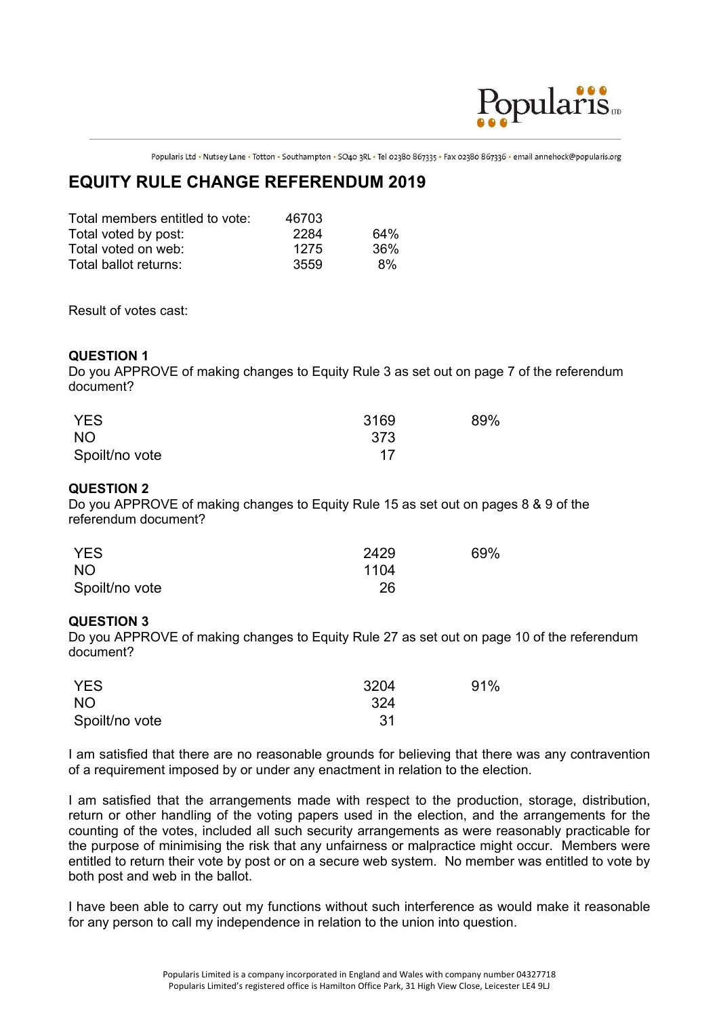

Popularis Ltd • Nutsey Lane • Totton • Southampton • SO40 3RL • Tel 02380 867335 • Fax 02380 867336 • email annehock@popularis.org

## **EQUITY RULE CHANGE REFERENDUM 2019**

| Total members entitled to vote: | 46703 |     |
|---------------------------------|-------|-----|
| Total voted by post:            | 2284  | 64% |
| Total voted on web:             | 1275  | 36% |
| Total ballot returns:           | 3559  | 8%  |

Result of votes cast:

## **QUESTION 1**

Do you APPROVE of making changes to Equity Rule 3 as set out on page 7 of the referendum document?

| <b>YES</b>     | 3169 | 89% |
|----------------|------|-----|
| <b>NO</b>      | 373  |     |
| Spoilt/no vote | 17   |     |

## **QUESTION 2**

Do you APPROVE of making changes to Equity Rule 15 as set out on pages 8 & 9 of the referendum document?

| <b>YES</b>     | 2429 | 69% |
|----------------|------|-----|
| <b>NO</b>      | 1104 |     |
| Spoilt/no vote | 26   |     |

## **QUESTION 3**

Do you APPROVE of making changes to Equity Rule 27 as set out on page 10 of the referendum document?

| <b>YES</b>      | 3204 | 91% |
|-----------------|------|-----|
| NO <sub>1</sub> | -324 |     |
| Spoilt/no vote  | -31  |     |

I am satisfied that there are no reasonable grounds for believing that there was any contravention of a requirement imposed by or under any enactment in relation to the election.

I am satisfied that the arrangements made with respect to the production, storage, distribution, return or other handling of the voting papers used in the election, and the arrangements for the counting of the votes, included all such security arrangements as were reasonably practicable for the purpose of minimising the risk that any unfairness or malpractice might occur. Members were entitled to return their vote by post or on a secure web system. No member was entitled to vote by both post and web in the ballot.

I have been able to carry out my functions without such interference as would make it reasonable for any person to call my independence in relation to the union into question.